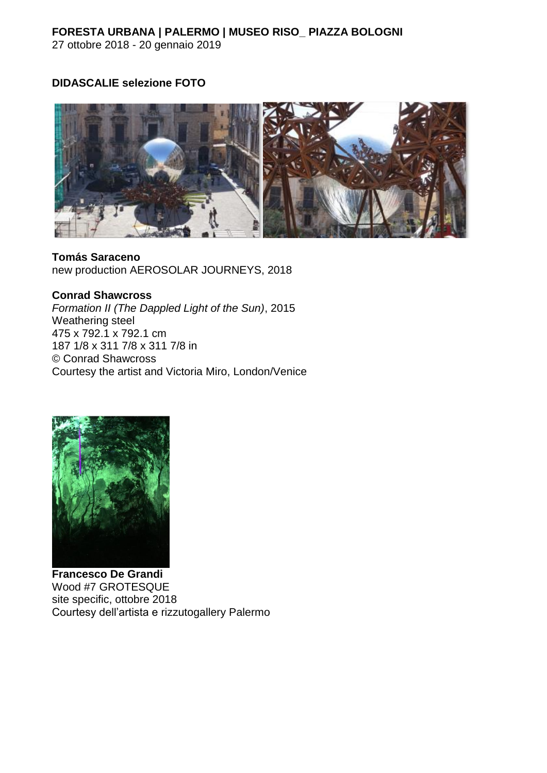## **FORESTA URBANA | PALERMO | MUSEO RISO\_ PIAZZA BOLOGNI** 27 ottobre 2018 - 20 gennaio 2019

## **DIDASCALIE selezione FOTO**



**Tomás Saraceno**  new production AEROSOLAR JOURNEYS, 2018

**Conrad Shawcross**

*Formation II (The Dappled Light of the Sun)*, 2015 Weathering steel 475 x 792.1 x 792.1 cm 187 1/8 x 311 7/8 x 311 7/8 in © Conrad Shawcross Courtesy the artist and Victoria Miro, London/Venice



**Francesco De Grandi** Wood #7 GROTESQUE site specific, ottobre 2018 Courtesy dell'artista e rizzutogallery Palermo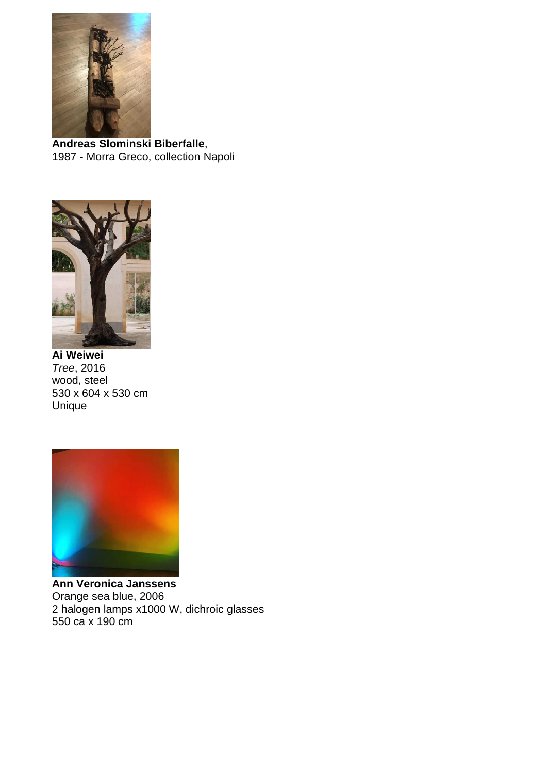

**Andreas Slominski Biberfalle**, 1987 - Morra Greco, collection Napoli



**Ai Weiwei** *Tree*, 2016 wood, steel 530 x 604 x 530 cm Unique



**Ann Veronica Janssens** Orange sea blue, 2006 2 halogen lamps x1000 W, dichroic glasses 550 ca x 190 cm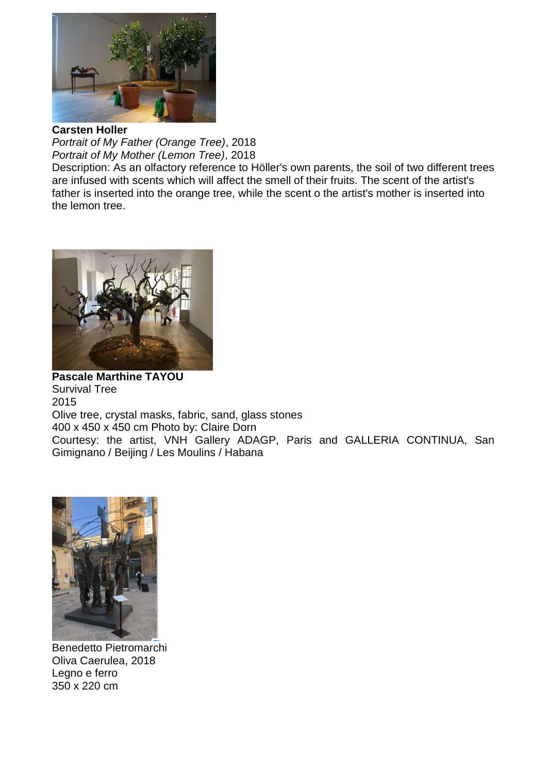

**Carsten Holler**

*Portrait of My Father (Orange Tree)*, 2018 *Portrait of My Mother (Lemon Tree)*, 2018

Description: As an olfactory reference to Höller's own parents, the soil of two different trees are infused with scents which will affect the smell of their fruits. The scent of the artist's father is inserted into the orange tree, while the scent o the artist's mother is inserted into the lemon tree.



**Pascale Marthine TAYOU** Survival Tree 2015 Olive tree, crystal masks, fabric, sand, glass stones 400 x 450 x 450 cm Photo by: Claire Dorn Courtesy: the artist, VNH Gallery ADAGP, Paris and GALLERIA CONTINUA, San Gimignano / Beijing / Les Moulins / Habana



Benedetto Pietromarchi Oliva Caerulea, 2018 Legno e ferro 350 x 220 cm